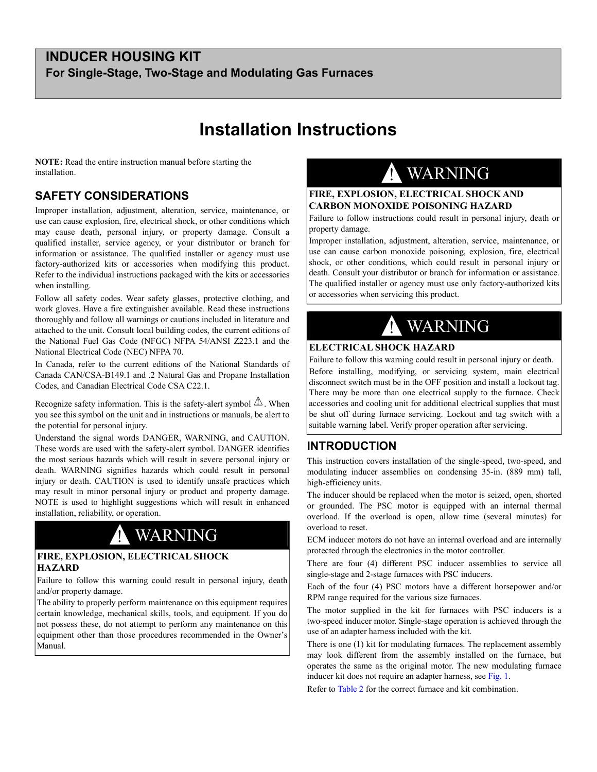### **INDUCER HOUSING KIT For Single-Stage, Two-Stage and Modulating Gas Furnaces**

## **Installation Instructions**

**NOTE:** Read the entire instruction manual before starting the installation.

### **SAFETY CONSIDERATIONS**

Improper installation, adjustment, alteration, service, maintenance, or use can cause explosion, fire, electrical shock, or other conditions which may cause death, personal injury, or property damage. Consult a qualified installer, service agency, or your distributor or branch for information or assistance. The qualified installer or agency must use factory-authorized kits or accessories when modifying this product. Refer to the individual instructions packaged with the kits or accessories when installing.

Follow all safety codes. Wear safety glasses, protective clothing, and work gloves. Have a fire extinguisher available. Read these instructions thoroughly and follow all warnings or cautions included in literature and attached to the unit. Consult local building codes, the current editions of the National Fuel Gas Code (NFGC) NFPA 54/ANSI Z223.1 and the National Electrical Code (NEC) NFPA 70.

In Canada, refer to the current editions of the National Standards of Canada CAN/CSA-B149.1 and .2 Natural Gas and Propane Installation Codes, and Canadian Electrical Code CSA C22.1.

Recognize safety information. This is the safety-alert symbol  $\triangle$ . When you see this symbol on the unit and in instructions or manuals, be alert to the potential for personal injury.

Understand the signal words DANGER, WARNING, and CAUTION. These words are used with the safety-alert symbol. DANGER identifies the most serious hazards which will result in severe personal injury or death. WARNING signifies hazards which could result in personal injury or death. CAUTION is used to identify unsafe practices which may result in minor personal injury or product and property damage. NOTE is used to highlight suggestions which will result in enhanced installation, reliability, or operation.

## ! WARNING

#### **FIRE, EXPLOSION, ELECTRICAL SHOCK HAZARD**

Failure to follow this warning could result in personal injury, death and/or property damage.

The ability to properly perform maintenance on this equipment requires certain knowledge, mechanical skills, tools, and equipment. If you do not possess these, do not attempt to perform any maintenance on this equipment other than those procedures recommended in the Owner's Manual.

## ! WARNING

#### **FIRE, EXPLOSION, ELECTRICAL SHOCK AND CARBON MONOXIDE POISONING HAZARD**

Failure to follow instructions could result in personal injury, death or property damage.

Improper installation, adjustment, alteration, service, maintenance, or use can cause carbon monoxide poisoning, explosion, fire, electrical shock, or other conditions, which could result in personal injury or death. Consult your distributor or branch for information or assistance. The qualified installer or agency must use only factory-authorized kits or accessories when servicing this product.

# ! WARNING

#### **ELECTRICAL SHOCK HAZARD**

Failure to follow this warning could result in personal injury or death. Before installing, modifying, or servicing system, main electrical disconnect switch must be in the OFF position and install a lockout tag. There may be more than one electrical supply to the furnace. Check accessories and cooling unit for additional electrical supplies that must be shut off during furnace servicing. Lockout and tag switch with a suitable warning label. Verify proper operation after servicing.

### **INTRODUCTION**

This instruction covers installation of the single-speed, two-speed, and modulating inducer assemblies on condensing 35-in. (889 mm) tall, high-efficiency units.

The inducer should be replaced when the motor is seized, open, shorted or grounded. The PSC motor is equipped with an internal thermal overload. If the overload is open, allow time (several minutes) for overload to reset.

ECM inducer motors do not have an internal overload and are internally protected through the electronics in the motor controller.

There are four (4) different PSC inducer assemblies to service all single-stage and 2-stage furnaces with PSC inducers.

Each of the four (4) PSC motors have a different horsepower and/or RPM range required for the various size furnaces.

The motor supplied in the kit for furnaces with PSC inducers is a two-speed inducer motor. Single-stage operation is achieved through the use of an adapter harness included with the kit.

There is one (1) kit for modulating furnaces. The replacement assembly may look different from the assembly installed on the furnace, but operates the same as the original motor. The new modulating furnace inducer kit does not require an adapter harness, see [Fig.](#page-1-0) 1.

Refer to [Table](#page-1-1) 2 for the correct furnace and kit combination.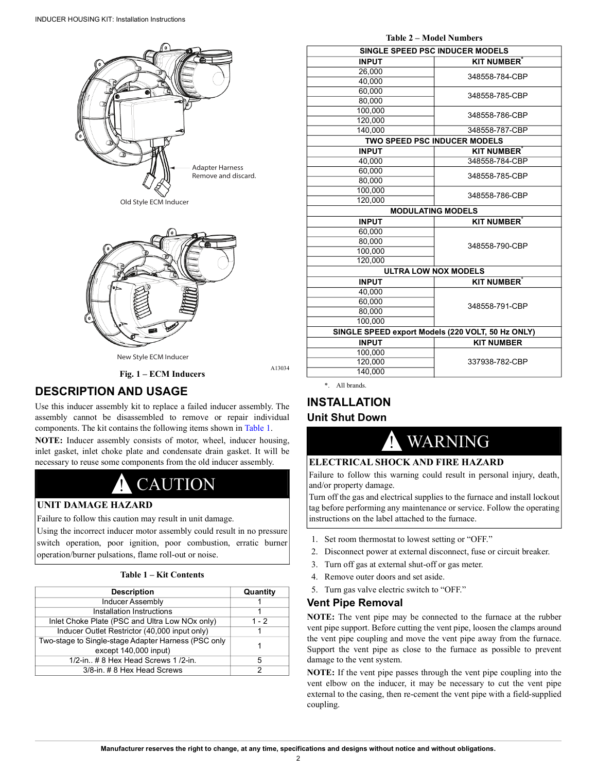



**Fig. 1 – ECM Inducers**

## <span id="page-1-0"></span>**DESCRIPTION AND USAGE**

Use this inducer assembly kit to replace a failed inducer assembly. The assembly cannot be disassembled to remove or repair individual components. The kit contains the following items shown in [Table](#page-1-2) 1.

**NOTE:** Inducer assembly consists of motor, wheel, inducer housing, inlet gasket, inlet choke plate and condensate drain gasket. It will be necessary to reuse some components from the old inducer assembly.

# **CAUTION**

#### **UNIT DAMAGE HAZARD**

Failure to follow this caution may result in unit damage.

Using the incorrect inducer motor assembly could result in no pressure switch operation, poor ignition, poor combustion, erratic burner operation/burner pulsations, flame roll-out or noise.

#### **Table 1 – Kit Contents**

<span id="page-1-2"></span>

| <b>Description</b>                                  | Quantity |
|-----------------------------------------------------|----------|
| Inducer Assembly                                    |          |
| Installation Instructions                           |          |
| Inlet Choke Plate (PSC and Ultra Low NOx only)      | $1 - 2$  |
| Inducer Outlet Restrictor (40,000 input only)       |          |
| Two-stage to Single-stage Adapter Harness (PSC only |          |
| except 140,000 input)                               |          |
| 1/2-in., # 8 Hex Head Screws 1 /2-in.               | 5        |
| 3/8-in. # 8 Hex Head Screws                         | っ        |

<span id="page-1-1"></span>

| SINGLE SPEED PSC INDUCER MODELS                   |                               |  |  |
|---------------------------------------------------|-------------------------------|--|--|
| <b>INPUT</b>                                      | <b>KIT NUMBER</b>             |  |  |
| 26,000                                            | 348558-784-CBP                |  |  |
| 40,000                                            |                               |  |  |
| 60,000                                            | 348558-785-CBP                |  |  |
| 80,000                                            |                               |  |  |
| 100,000                                           | 348558-786-CBP                |  |  |
| 120,000                                           |                               |  |  |
| 140,000                                           | 348558-787-CBP                |  |  |
| TWO SPEED PSC INDUCER MODELS                      |                               |  |  |
| <b>INPUT</b>                                      | <b>KIT NUMBER</b>             |  |  |
| 40,000                                            | 348558-784-CBP                |  |  |
| 60,000                                            | 348558-785-CBP                |  |  |
| 80,000                                            |                               |  |  |
| 100,000                                           | 348558-786-CBP                |  |  |
| 120,000                                           |                               |  |  |
| <b>MODULATING MODELS</b>                          |                               |  |  |
| <b>INPUT</b>                                      | <b>KIT NUMBER<sup>*</sup></b> |  |  |
| 60,000                                            |                               |  |  |
| 80,000                                            | 348558-790-CBP                |  |  |
| 100,000                                           |                               |  |  |
| 120,000                                           |                               |  |  |
| <b>ULTRA LOW NOX MODELS</b>                       |                               |  |  |
| <b>INPUT</b>                                      | <b>KIT NUMBER</b>             |  |  |
| 40,000                                            | 348558-791-CBP                |  |  |
| 60,000                                            |                               |  |  |
| 80,000                                            |                               |  |  |
| 100,000                                           |                               |  |  |
| SINGLE SPEED export Models (220 VOLT, 50 Hz ONLY) |                               |  |  |
| <b>INPUT</b>                                      | <b>KIT NUMBER</b>             |  |  |
| 100,000                                           | 337938-782-CBP                |  |  |
| 120,000                                           |                               |  |  |
| 140,000                                           |                               |  |  |

**Table 2 – Model Numbers**

\*. All brands.

A13034

### <span id="page-1-3"></span>**INSTALLATION Unit Shut Down**



#### **ELECTRICAL SHOCK AND FIRE HAZARD**

Failure to follow this warning could result in personal injury, death, and/or property damage.

Turn off the gas and electrical supplies to the furnace and install lockout tag before performing any maintenance or service. Follow the operating instructions on the label attached to the furnace.

- 1. Set room thermostat to lowest setting or "OFF."
- 2. Disconnect power at external disconnect, fuse or circuit breaker.
- 3. Turn off gas at external shut-off or gas meter.
- 4. Remove outer doors and set aside.
- 5. Turn gas valve electric switch to "OFF."

#### **Vent Pipe Removal**

**NOTE:** The vent pipe may be connected to the furnace at the rubber vent pipe support. Before cutting the vent pipe, loosen the clamps around the vent pipe coupling and move the vent pipe away from the furnace. Support the vent pipe as close to the furnace as possible to prevent damage to the vent system.

**NOTE:** If the vent pipe passes through the vent pipe coupling into the vent elbow on the inducer, it may be necessary to cut the vent pipe external to the casing, then re-cement the vent pipe with a field-supplied coupling.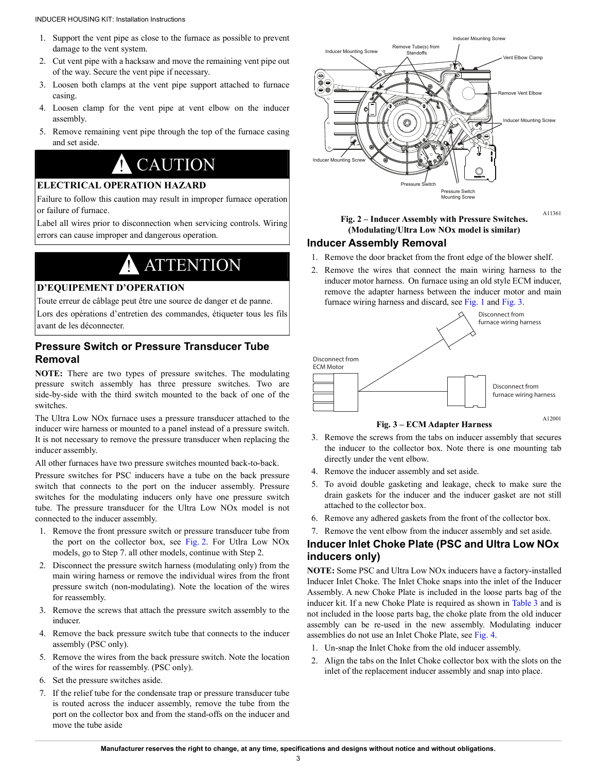INDUCER HOUSING KIT: Installation Instructions

- 1. Support the vent pipe as close to the furnace as possible to prevent damage to the vent system.
- 2. Cut vent pipe with a hacksaw and move the remaining vent pipe out of the way. Secure the vent pipe if necessary.
- 3. Loosen both clamps at the vent pipe support attached to furnace casing.
- 4. Loosen clamp for the vent pipe at vent elbow on the inducer assembly.
- 5. Remove remaining vent pipe through the top of the furnace casing and set aside.

## **CAUTION**

#### **ELECTRICAL OPERATION HAZARD**

Failure to follow this caution may result in improper furnace operation or failure of furnace.

Label all wires prior to disconnection when servicing controls. Wiring errors can cause improper and dangerous operation.

# **ATTENTION**

#### **D'EQUIPEMENT D'OPERATION**

Toute erreur de câblage peut être une source de danger et de panne. Lors des opérations d'entretien des commandes, étiqueter tous les fils avant de les déconnecter.

#### **Pressure Switch or Pressure Transducer Tube Removal**

**NOTE:** There are two types of pressure switches. The modulating pressure switch assembly has three pressure switches. Two are side-by-side with the third switch mounted to the back of one of the switches.

The Ultra Low NOx furnace uses a pressure transducer attached to the inducer wire harness or mounted to a panel instead of a pressure switch. It is not necessary to remove the pressure transducer when replacing the inducer assembly.

All other furnaces have two pressure switches mounted back-to-back.

Pressure switches for PSC inducers have a tube on the back pressure switch that connects to the port on the inducer assembly. Pressure switches for the modulating inducers only have one pressure switch tube. The pressure transducer for the Ultra Low NOx model is not connected to the inducer assembly.

- 1. Remove the front pressure switch or pressure transducer tube from the port on the collector box, see [Fig.](#page-2-0) 2. For Utlra Low NOx models, go to Step 7. all other models, continue with Step 2.
- 2. Disconnect the pressure switch harness (modulating only) from the main wiring harness or remove the individual wires from the front pressure switch (non-modulating). Note the location of the wires for reassembly.
- 3. Remove the screws that attach the pressure switch assembly to the inducer.
- 4. Remove the back pressure switch tube that connects to the inducer assembly (PSC only).
- 5. Remove the wires from the back pressure switch. Note the location of the wires for reassembly. (PSC only).
- 6. Set the pressure switches aside.
- 7. If the relief tube for the condensate trap or pressure transducer tube is routed across the inducer assembly, remove the tube from the port on the collector box and from the stand-offs on the inducer and move the tube aside



**Fig. 2 – Inducer Assembly with Pressure Switches. (Modulating/Ultra Low NOx model is similar)**

#### <span id="page-2-0"></span>**Inducer Assembly Removal**

- 1. Remove the door bracket from the front edge of the blower shelf.
- 2. Remove the wires that connect the main wiring harness to the inducer motor harness. On furnace using an old style ECM inducer, remove the adapter harness between the inducer motor and main furnace wiring harness and discard, see [Fig.](#page-1-0) 1 and [Fig.](#page-2-1) 3.



#### **Fig. 3 – ECM Adapter Harness**

- <span id="page-2-1"></span>3. Remove the screws from the tabs on inducer assembly that secures the inducer to the collector box. Note there is one mounting tab directly under the vent elbow.
- 4. Remove the inducer assembly and set aside.
- 5. To avoid double gasketing and leakage, check to make sure the drain gaskets for the inducer and the inducer gasket are not still attached to the collector box.
- 6. Remove any adhered gaskets from the front of the collector box.
- 7. Remove the vent elbow from the inducer assembly and set aside.

#### **Inducer Inlet Choke Plate (PSC and Ultra Low NOx inducers only)**

**NOTE:** Some PSC and Ultra Low NOx inducers have a factory-installed Inducer Inlet Choke. The Inlet Choke snaps into the inlet of the Inducer Assembly. A new Choke Plate is included in the loose parts bag of the inducer kit. If a new Choke Plate is required as shown in [Table](#page-3-1) 3 and is not included in the loose parts bag, the choke plate from the old inducer assembly can be re-used in the new assembly. Modulating inducer assemblies do not use an Inlet Choke Plate, see [Fig.](#page-3-0) 4.

- 1. Un-snap the Inlet Choke from the old inducer assembly.
- 2. Align the tabs on the Inlet Choke collector box with the slots on the inlet of the replacement inducer assembly and snap into place.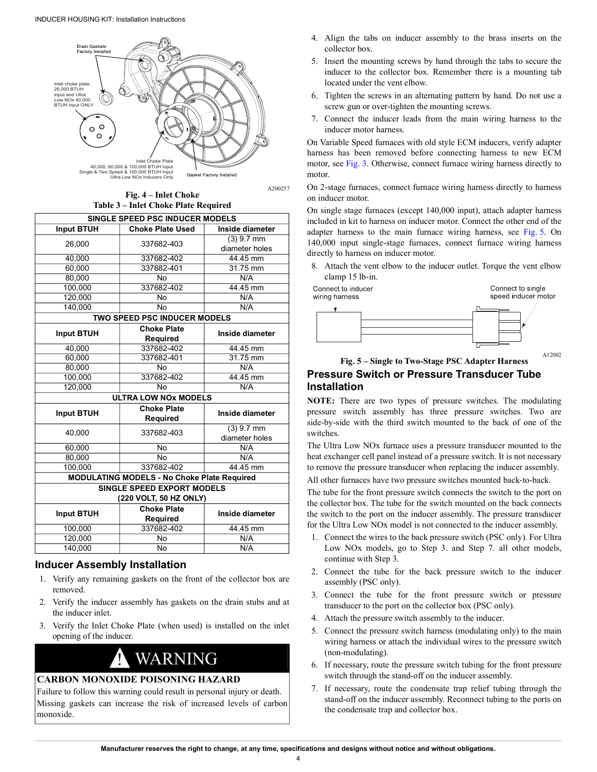

A200257

#### **Fig. 4 – Inlet Choke Table 3 – Inlet Choke Plate Required**

<span id="page-3-1"></span><span id="page-3-0"></span>

| SINGLE SPEED PSC INDUCER MODELS |                                             |                                   |  |  |  |
|---------------------------------|---------------------------------------------|-----------------------------------|--|--|--|
| <b>Input BTUH</b>               | <b>Choke Plate Used</b>                     | Inside diameter                   |  |  |  |
| 26,000                          | 337682-403                                  | $(3) 9.7$ mm                      |  |  |  |
|                                 |                                             | diameter holes                    |  |  |  |
| 40,000                          | 337682-402                                  | 44.45 mm                          |  |  |  |
| 60.000                          | 337682-401                                  | 31.75 mm                          |  |  |  |
| 80,000                          | <b>No</b>                                   | N/A                               |  |  |  |
| 100,000                         | 337682-402                                  | 44.45 mm                          |  |  |  |
| 120,000                         | <b>No</b>                                   | N/A                               |  |  |  |
| 140,000                         | No                                          | N/A                               |  |  |  |
| TWO SPEED PSC INDUCER MODELS    |                                             |                                   |  |  |  |
|                                 | <b>Choke Plate</b>                          | Inside diameter                   |  |  |  |
| <b>Input BTUH</b>               | Required                                    |                                   |  |  |  |
| 40,000                          | 337682-402                                  | 44.45 mm                          |  |  |  |
| 60,000                          | 337682-401                                  | 31.75 mm                          |  |  |  |
| 80,000                          | No                                          | N/A                               |  |  |  |
| 100,000                         | 337682-402                                  | 44.45 mm                          |  |  |  |
| 120,000                         | No                                          | N/A                               |  |  |  |
|                                 | <b>ULTRA LOW NOX MODELS</b>                 |                                   |  |  |  |
| <b>Input BTUH</b>               | <b>Choke Plate</b>                          | Inside diameter                   |  |  |  |
|                                 | Required                                    |                                   |  |  |  |
| 40,000                          | 337682-403                                  | $(3) 9.7$ mm                      |  |  |  |
|                                 |                                             | diameter holes                    |  |  |  |
| 60,000                          | No                                          | $\overline{\mathsf{N}}\mathsf{A}$ |  |  |  |
| 80,000                          | No                                          | N/A                               |  |  |  |
| 100,000                         | 337682-402                                  | 44.45 mm                          |  |  |  |
|                                 | MODULATING MODELS - No Choke Plate Required |                                   |  |  |  |
|                                 | <b>SINGLE SPEED EXPORT MODELS</b>           |                                   |  |  |  |
|                                 | (220 VOLT, 50 HZ ONLY)                      |                                   |  |  |  |
|                                 | <b>Choke Plate</b>                          | Inside diameter                   |  |  |  |
| <b>Input BTUH</b>               | Required                                    |                                   |  |  |  |
| 100,000                         | 337682-402                                  | 44.45 mm                          |  |  |  |
| 120,000                         | No                                          | N/A                               |  |  |  |
| 140,000                         | No                                          | N/A                               |  |  |  |

#### **Inducer Assembly Installation**

- 1. Verify any remaining gaskets on the front of the collector box are removed.
- 2. Verify the inducer assembly has gaskets on the drain stubs and at the inducer inlet.
- 3. Verify the Inlet Choke Plate (when used) is installed on the inlet opening of the inducer.

# **WARNING**

#### **CARBON MONOXIDE POISONING HAZARD**

Failure to follow this warning could result in personal injury or death. Missing gaskets can increase the risk of increased levels of carbon monoxide.

- 4. Align the tabs on inducer assembly to the brass inserts on the collector box.
- 5. Insert the mounting screws by hand through the tabs to secure the inducer to the collector box. Remember there is a mounting tab located under the vent elbow.
- 6. Tighten the screws in an alternating pattern by hand. Do not use a screw gun or over-tighten the mounting screws.
- 7. Connect the inducer leads from the main wiring harness to the inducer motor harness.

On Variable Speed furnaces with old style ECM inducers, verify adapter harness has been removed before connecting harness to new ECM motor, see [Fig.](#page-2-1) 3. Otherwise, connect furnace wiring harness directly to motor.

On 2-stage furnaces, connect furnace wiring harness directly to harness on inducer motor.

On single stage furnaces (except 140,000 input), attach adapter harness included in kit to harness on inducer motor. Connect the other end of the adapter harness to the main furnace wiring harness, see [Fig.](#page-3-2) 5. On 140,000 input single-stage furnaces, connect furnace wiring harness directly to harness on inducer motor.

8. Attach the vent elbow to the inducer outlet. Torque the vent elbow clamp 15 lb-in.



A12002

#### <span id="page-3-2"></span>**Fig. 5 – Single to Two-Stage PSC Adapter Harness Pressure Switch or Pressure Transducer Tube Installation**

**NOTE:** There are two types of pressure switches. The modulating pressure switch assembly has three pressure switches. Two are side-by-side with the third switch mounted to the back of one of the switches.

The Ultra Low NOx furnace uses a pressure transducer mounted to the heat exchanger cell panel instead of a pressure switch. It is not necessary to remove the pressure transducer when replacing the inducer assembly.

All other furnaces have two pressure switches mounted back-to-back.

The tube for the front pressure switch connects the switch to the port on the collector box. The tube for the switch mounted on the back connects the switch to the port on the inducer assembly. The pressure transducer for the Ultra Low NOx model is not connected to the inducer assembly.

- 1. Connect the wires to the back pressure switch (PSC only). For Ultra Low NOx models, go to Step 3. and Step 7. all other models, continue with Step 3.
- 2. Connect the tube for the back pressure switch to the inducer assembly (PSC only).
- 3. Connect the tube for the front pressure switch or pressure transducer to the port on the collector box (PSC only).
- 4. Attach the pressure switch assembly to the inducer.
- 5. Connect the pressure switch harness (modulating only) to the main wiring harness or attach the individual wires to the pressure switch (non-modulating).
- 6. If necessary, route the pressure switch tubing for the front pressure switch through the stand-off on the inducer assembly.
- 7. If necessary, route the condensate trap relief tubing through the stand-off on the inducer assembly. Reconnect tubing to the ports on the condensate trap and collector box.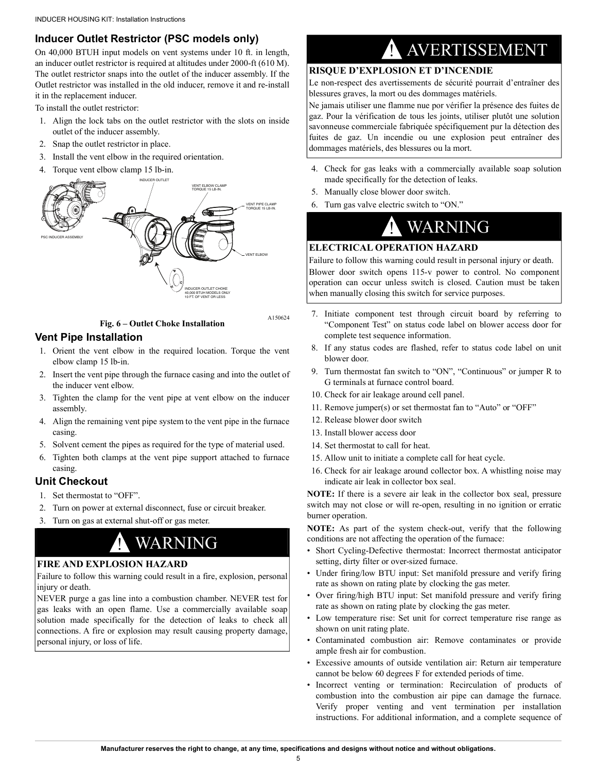### **Inducer Outlet Restrictor (PSC models only)**

On 40,000 BTUH input models on vent systems under 10 ft. in length, an inducer outlet restrictor is required at altitudes under 2000-ft (610 M). The outlet restrictor snaps into the outlet of the inducer assembly. If the Outlet restrictor was installed in the old inducer, remove it and re-install it in the replacement inducer.

To install the outlet restrictor:

- 1. Align the lock tabs on the outlet restrictor with the slots on inside outlet of the inducer assembly.
- 2. Snap the outlet restrictor in place.
- 3. Install the vent elbow in the required orientation.
- Torque vent elbow clamp 15 lb-in.



**Fig. 6 – Outlet Choke Installation**

#### **Vent Pipe Installation**

- 1. Orient the vent elbow in the required location. Torque the vent elbow clamp 15 lb-in.
- 2. Insert the vent pipe through the furnace casing and into the outlet of the inducer vent elbow.
- 3. Tighten the clamp for the vent pipe at vent elbow on the inducer assembly.
- 4. Align the remaining vent pipe system to the vent pipe in the furnace casing.
- 5. Solvent cement the pipes as required for the type of material used.
- 6. Tighten both clamps at the vent pipe support attached to furnace casing.

#### **Unit Checkout**

- 1. Set thermostat to "OFF".
- 2. Turn on power at external disconnect, fuse or circuit breaker.
- 3. Turn on gas at external shut-off or gas meter.

## **WARNING**

#### **FIRE AND EXPLOSION HAZARD**

Failure to follow this warning could result in a fire, explosion, personal injury or death.

NEVER purge a gas line into a combustion chamber. NEVER test for gas leaks with an open flame. Use a commercially available soap solution made specifically for the detection of leaks to check all connections. A fire or explosion may result causing property damage, personal injury, or loss of life.

# ! AVERTISSEMENT

#### **RISQUE D'EXPLOSION ET D'INCENDIE**

Le non-respect des avertissements de sécurité pourrait d'entraîner des blessures graves, la mort ou des dommages matériels.

Ne jamais utiliser une flamme nue por vérifier la présence des fuites de gaz. Pour la vérification de tous les joints, utiliser plutôt une solution savonneuse commerciale fabriquée spécifiquement pur la détection des fuites de gaz. Un incendie ou une explosion peut entraîner des dommages matériels, des blessures ou la mort.

- 4. Check for gas leaks with a commercially available soap solution made specifically for the detection of leaks.
- 5. Manually close blower door switch.
- 6. Turn gas valve electric switch to "ON."



#### **ELECTRICAL OPERATION HAZARD**

Failure to follow this warning could result in personal injury or death. Blower door switch opens 115-v power to control. No component operation can occur unless switch is closed. Caution must be taken when manually closing this switch for service purposes.

- 7. Initiate component test through circuit board by referring to "Component Test" on status code label on blower access door for complete test sequence information.
- 8. If any status codes are flashed, refer to status code label on unit blower door.
- 9. Turn thermostat fan switch to "ON", "Continuous" or jumper R to G terminals at furnace control board.
- 10. Check for air leakage around cell panel.
- 11. Remove jumper(s) or set thermostat fan to "Auto" or "OFF"
- 12. Release blower door switch
- 13. Install blower access door
- 14. Set thermostat to call for heat.
- 15. Allow unit to initiate a complete call for heat cycle.
- 16. Check for air leakage around collector box. A whistling noise may indicate air leak in collector box seal.

**NOTE:** If there is a severe air leak in the collector box seal, pressure switch may not close or will re-open, resulting in no ignition or erratic burner operation.

**NOTE:** As part of the system check-out, verify that the following conditions are not affecting the operation of the furnace:

- Short Cycling-Defective thermostat: Incorrect thermostat anticipator setting, dirty filter or over-sized furnace.
- Under firing/low BTU input: Set manifold pressure and verify firing rate as shown on rating plate by clocking the gas meter.
- Over firing/high BTU input: Set manifold pressure and verify firing rate as shown on rating plate by clocking the gas meter.
- Low temperature rise: Set unit for correct temperature rise range as shown on unit rating plate.
- Contaminated combustion air: Remove contaminates or provide ample fresh air for combustion.
- Excessive amounts of outside ventilation air: Return air temperature cannot be below 60 degrees F for extended periods of time.
- Incorrect venting or termination: Recirculation of products of combustion into the combustion air pipe can damage the furnace. Verify proper venting and vent termination per installation instructions. For additional information, and a complete sequence of

A150624